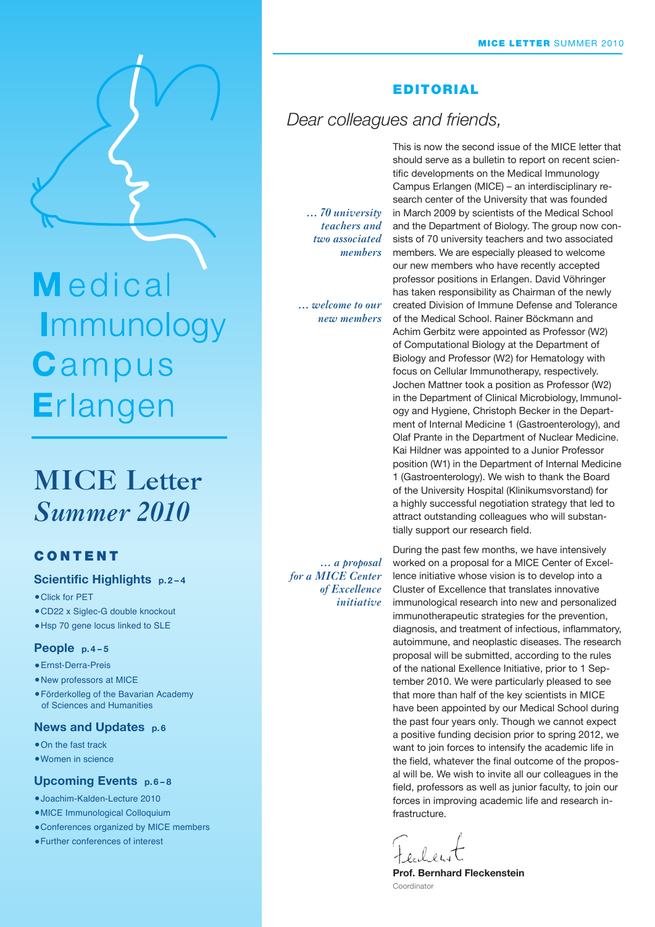Medical Immunology Campus Erlangen

# **MICE Letter** *Summer 2010*

#### **CONTENT**

#### **Scientific Highlights p. 2 – 4**

- •Click for PET
- •CD22 x Siglec-G double knockout
- •Hsp 70 gene locus linked to SLE

#### **People p. 4 – 5**

- •Ernst-Derra-Preis
- •New professors at MICE
- •Förderkolleg of the Bavarian Academy of Sciences and Humanities

#### **News and Updates p.6**

- On the fast track
- •Women in science

#### **Upcoming Events p. 6 – 8**

- •Joachim-Kalden-Lecture 2010
- •MICE Immunological Colloquium
- •Conferences organized by MICE members
- •Further conferences of interest

#### **EDITORIAL**

## *Dear colleagues and friends,*

*… 70 university teachers and two associated members*

*… welcome to our new members* 

*… a proposal for a MICE Center of Excellence initiative*

This is now the second issue of the MICE letter that should serve as a bulletin to report on recent scientific developments on the Medical Immunology Campus Erlangen (MICE) – an interdisciplinary research center of the University that was founded in March 2009 by scientists of the Medical School and the Department of Biology. The group now consists of 70 university teachers and two associated members. We are especially pleased to welcome our new members who have recently accepted professor positions in Erlangen. David Vöhringer has taken responsibility as Chairman of the newly created Division of Immune Defense and Tolerance of the Medical School. Rainer Böckmann and Achim Gerbitz were appointed as Professor (W2) of Computational Biology at the Department of Biology and Professor (W2) for Hematology with focus on Cellular Immunotherapy, respectively. Jochen Mattner took a position as Professor (W2) in the Department of Clinical Microbiology, Immunology and Hygiene, Christoph Becker in the Department of Internal Medicine 1 (Gastroenterology), and Olaf Prante in the Department of Nuclear Medicine. Kai Hildner was appointed to a Junior Professor position (W1) in the Department of Internal Medicine 1 (Gastroenterology). We wish to thank the Board of the University Hospital (Klinikumsvorstand) for a highly successful negotiation strategy that led to attract outstanding colleagues who will substantially support our research field.

During the past few months, we have intensively worked on a proposal for a MICE Center of Excellence initiative whose vision is to develop into a Cluster of Excellence that translates innovative immunological research into new and personalized immunotherapeutic strategies for the prevention, diagnosis, and treatment of infectious, inflammatory, autoimmune, and neoplastic diseases. The research proposal will be submitted, according to the rules of the national Exellence Initiative, prior to 1 September 2010. We were particularly pleased to see that more than half of the key scientists in MICE have been appointed by our Medical School during the past four years only. Though we cannot expect a positive funding decision prior to spring 2012, we want to join forces to intensify the academic life in the field, whatever the final outcome of the proposal will be. We wish to invite all our colleagues in the field, professors as well as junior faculty, to join our forces in improving academic life and research infrastructure.

**Prof. Bernhard Fleckenstein** Coordinator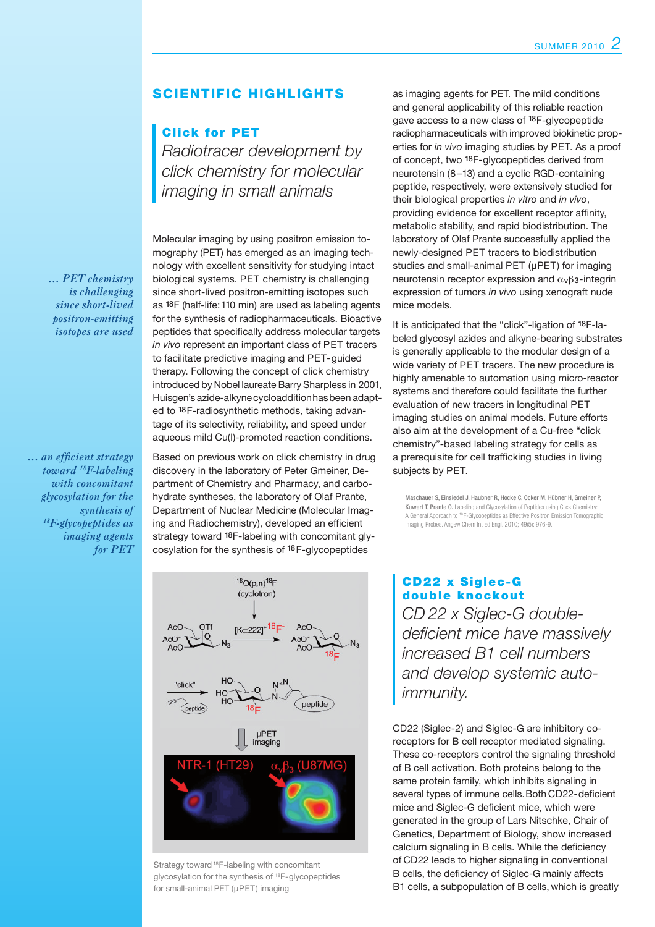#### SCIENTIFIC HIGHLIGHTS

#### **Click for PET**

*Radiotracer development by click chemistry for molecular imaging in small animals*

 *… PET chemistry is challenging since short-lived positron-emitting isotopes are used*

*… an efficient strategy toward 18F-labeling with concomitant glycosylation for the synthesis of 18F-glycopeptides as imaging agents for PET*

Molecular imaging by using positron emission tomography (PET) has emerged as an imaging technology with excellent sensitivity for studying intact biological systems. PET chemistry is challenging since short-lived positron-emitting isotopes such as 18F (half-life: 110 min) are used as labeling agents for the synthesis of radiopharmaceuticals. Bioactive peptides that specifically address molecular targets *in vivo* represent an important class of PET tracers to facilitate predictive imaging and PET-guided therapy. Following the concept of click chemistry introduced by Nobel laureate Barry Sharpless in 2001, Huisgen's azide-alkyne cycloaddition has been adapted to <sup>18</sup>F-radiosynthetic methods, taking advantage of its selectivity, reliability, and speed under aqueous mild Cu(I)-promoted reaction conditions.

Based on previous work on click chemistry in drug discovery in the laboratory of Peter Gmeiner, Department of Chemistry and Pharmacy, and carbohydrate syntheses, the laboratory of Olaf Prante, Department of Nuclear Medicine (Molecular Imaging and Radiochemistry), developed an efficient strategy toward <sup>18</sup>F-labeling with concomitant glycosylation for the synthesis of 18F-glycopeptides



Strategy toward 18F-labeling with concomitant glycosylation for the synthesis of 18F-glycopeptides for small-animal PET (µPET) imaging

as imaging agents for PET. The mild conditions and general applicability of this reliable reaction gave access to a new class of 18F-glycopeptide radiopharmaceuticals with improved biokinetic properties for *in vivo* imaging studies by PET. As a proof of concept, two 18F-glycopeptides derived from neurotensin (8 –13) and a cyclic RGD-containing peptide, respectively, were extensively studied for their biological properties *in vitro* and *in vivo*, providing evidence for excellent receptor affinity, metabolic stability, and rapid biodistribution. The laboratory of Olaf Prante successfully applied the newly-designed PET tracers to biodistribution studies and small-animal PET (µPET) for imaging neurotensin receptor expression and  $\alpha_{\nu}\beta_3$ -integrin expression of tumors *in vivo* using xenograft nude mice models.

It is anticipated that the "click"-ligation of 18F-labeled glycosyl azides and alkyne-bearing substrates is generally applicable to the modular design of a wide variety of PET tracers. The new procedure is highly amenable to automation using micro-reactor systems and therefore could facilitate the further evaluation of new tracers in longitudinal PET imaging studies on animal models. Future efforts also aim at the development of a Cu-free "click chemistry"-based labeling strategy for cells as a prerequisite for cell trafficking studies in living subjects by PET.

Maschauer S, Einsiedel J, Haubner R, Hocke C, Ocker M, Hübner H, Gmeiner P, Kuwert T, Prante O. Labeling and Glycosylation of Peptides using Click Chemistry: A General Approach to <sup>18</sup> F-Glycopeptides as Effective Positron Emission Tomographic Imaging Probes. Angew Chem Int Ed Engl. 2010; 49(5): 976-9.

CD22 x Siglec-G double knockout *CD 22 x Siglec-G doubledeficient mice have massively increased B1 cell numbers and develop systemic autoimmunity.* 

CD22 (Siglec-2) and Siglec-G are inhibitory co-receptors for B cell receptor mediated signaling. These co-receptors control the signaling threshold of B cell activation. Both proteins belong to the same protein family, which inhibits signaling in several types of immune cells. Both CD22-deficient mice and Siglec-G deficient mice, which were generated in the group of Lars Nitschke, Chair of Genetics, Department of Biology, show increased calcium signaling in B cells. While the deficiency of CD22 leads to higher signaling in conventional B cells, the deficiency of Siglec-G mainly affects B1 cells, a subpopulation of B cells, which is greatly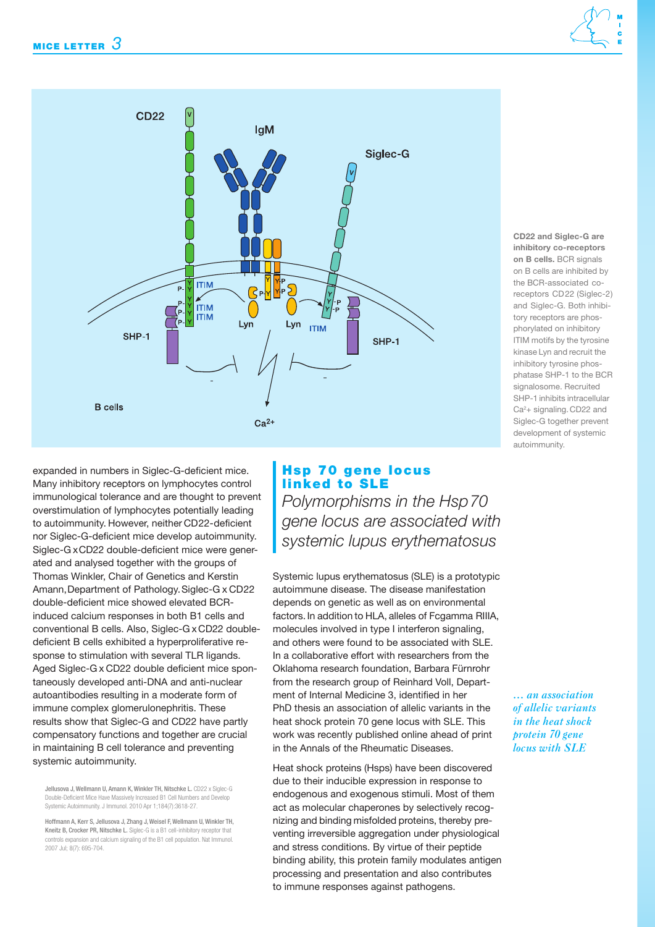

**inhibitory co-receptors on B cells.** BCR signals on B cells are inhibited by the BCR-associated coreceptors CD22 (Siglec-2) and Siglec-G. Both inhibitory receptors are phosphorylated on inhibitory ITIM motifs by the tyrosine kinase Lyn and recruit the inhibitory tyrosine phosphatase SHP-1 to the BCR signalosome. Recruited SHP-1 inhibits intracellular Ca<sup>2</sup>+ signaling. CD22 and Siglec-G together prevent development of systemic autoimmunity.

**CD22 and Siglec-G are** 

expanded in numbers in Siglec-G-deficient mice. Many inhibitory receptors on lymphocytes control immunological tolerance and are thought to prevent overstimulation of lymphocytes potentially leading to autoimmunity. However, neither CD22-deficient nor Siglec-G-deficient mice develop autoimmunity. Siglec-G x CD22 double-deficient mice were generated and analysed together with the groups of Thomas Winkler, Chair of Genetics and Kerstin Amann, Department of Pathology. Siglec-G x CD22 double-deficient mice showed elevated BCRinduced calcium responses in both B1 cells and conventional B cells. Also, Siglec-G x CD22 doubledeficient B cells exhibited a hyperproliferative response to stimulation with several TLR ligands. Aged Siglec-G x CD22 double deficient mice spontaneously developed anti-DNA and anti-nuclear autoantibodies resulting in a moderate form of immune complex glomerulonephritis. These results show that Siglec-G and CD22 have partly compensatory functions and together are crucial in maintaining B cell tolerance and preventing systemic autoimmunity.

Jellusova J, Wellmann U, Amann K, Winkler TH, Nitschke L. CD22 x Siglec-G Double-Deficient Mice Have Massively Increased B1 Cell Numbers and Develop Systemic Autoimmunity. J Immunol. 2010 Apr 1;184(7):3618-27.

Hoffmann A, Kerr S, Jellusova J, Zhang J, Weisel F, Wellmann U, Winkler TH, Kneitz B, Crocker PR, Nitschke L. Siglec-G is a B1 cell-inhibitory receptor that controls expansion and calcium signaling of the B1 cell population. Nat Immunol. 2007 Jul; 8(7): 695-704.

#### Hsp 70 gene locus linked to SLE

*Polymorphisms in the Hsp 70 gene locus are associated with systemic lupus erythematosus*

Systemic lupus erythematosus (SLE) is a prototypic autoimmune disease. The disease manifestation depends on genetic as well as on environmental factors. In addition to HLA, alleles of Fcgamma RIIIA, molecules involved in type I interferon signaling, and others were found to be associated with SLE. In a collaborative effort with researchers from the Oklahoma research foundation, Barbara Fürnrohr from the research group of Reinhard Voll, Department of Internal Medicine 3, identified in her PhD thesis an association of allelic variants in the heat shock protein 70 gene locus with SLE. This work was recently published online ahead of print in the Annals of the Rheumatic Diseases.

Heat shock proteins (Hsps) have been discovered due to their inducible expression in response to endogenous and exogenous stimuli. Most of them act as molecular chaperones by selectively recognizing and binding misfolded proteins, thereby preventing irreversible aggregation under physiological and stress conditions. By virtue of their peptide binding ability, this protein family modulates antigen processing and presentation and also contributes to immune responses against pathogens.

*… an association of allelic variants in the heat shock protein 70 gene locus with SLE*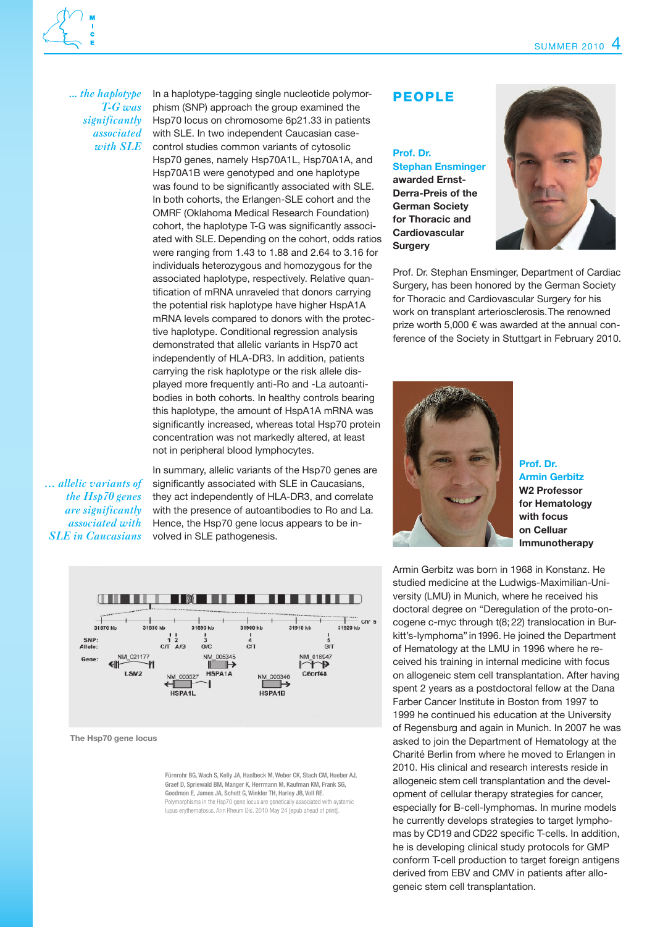*... the haplotype T-G was significantly associated with SLE*

In a haplotype-tagging single nucleotide polymorphism (SNP) approach the group examined the Hsp70 locus on chromosome 6p21.33 in patients with SLE. In two independent Caucasian casecontrol studies common variants of cytosolic Hsp70 genes, namely Hsp70A1L, Hsp70A1A, and Hsp70A1B were genotyped and one haplotype was found to be significantly associated with SLE. In both cohorts, the Erlangen-SLE cohort and the OMRF (Oklahoma Medical Research Foundation) cohort, the haplotype T-G was significantly associated with SLE. Depending on the cohort, odds ratios were ranging from 1.43 to 1.88 and 2.64 to 3.16 for individuals heterozygous and homozygous for the associated haplotype, respectively. Relative quantification of mRNA unraveled that donors carrying the potential risk haplotype have higher HspA1A mRNA levels compared to donors with the protective haplotype. Conditional regression analysis demonstrated that allelic variants in Hsp70 act independently of HLA-DR3. In addition, patients carrying the risk haplotype or the risk allele displayed more frequently anti-Ro and -La autoantibodies in both cohorts. In healthy controls bearing this haplotype, the amount of HspA1A mRNA was significantly increased, whereas total Hsp70 protein concentration was not markedly altered, at least not in peripheral blood lymphocytes.

*… allelic variants of the Hsp70 genes are significantly associated with SLE in Caucasians*

In summary, allelic variants of the Hsp70 genes are significantly associated with SLE in Caucasians, they act independently of HLA-DR3, and correlate with the presence of autoantibodies to Ro and La. Hence, the Hsp70 gene locus appears to be involved in SLE pathogenesis.



**The Hsp70 gene locus**

Fürnrohr BG, Wach S, Kelly JA, Haslbeck M, Weber CK, Stach CM, Hueber AJ, Graef D, Spriewald BM, Manger K, Herrmann M, Kaufman KM, Frank SG, Goodmon E, James JA, Schett G, Winkler TH, Harley JB, Voll RE. Polymorphisms in the Hsp70 gene locus are genetically associated with systemic lupus erythematosus. Ann Rheum Dis. 2010 May 24 [epub ahead of print].

#### people

#### **Prof. Dr. Stephan Ensminger awarded Ernst-Derra-Preis of the German Society for Thoracic and Cardiovascular Surgery**



Prof. Dr. Stephan Ensminger, Department of Cardiac Surgery, has been honored by the German Society for Thoracic and Cardiovascular Surgery for his work on transplant arteriosclerosis. The renowned prize worth 5,000 € was awarded at the annual conference of the Society in Stuttgart in February 2010.



**Prof. Dr. Armin Gerbitz W2 Professor for Hematology with focus on Celluar Immunotherapy**

Armin Gerbitz was born in 1968 in Konstanz. He studied medicine at the Ludwigs-Maximilian-University (LMU) in Munich, where he received his doctoral degree on "Deregulation of the proto-oncogene c-myc through t(8; 22) translocation in Burkitt's-lymphoma" in 1996. He joined the Department of Hematology at the LMU in 1996 where he received his training in internal medicine with focus on allogeneic stem cell transplantation. After having spent 2 years as a postdoctoral fellow at the Dana Farber Cancer Institute in Boston from 1997 to 1999 he continued his education at the University of Regensburg and again in Munich. In 2007 he was asked to join the Department of Hematology at the Charité Berlin from where he moved to Erlangen in 2010. His clinical and research interests reside in allogeneic stem cell transplantation and the development of cellular therapy strategies for cancer, especially for B-cell-lymphomas. In murine models he currently develops strategies to target lymphomas by CD19 and CD22 specific T-cells. In addition, he is developing clinical study protocols for GMP conform T-cell production to target foreign antigens derived from EBV and CMV in patients after allogeneic stem cell transplantation.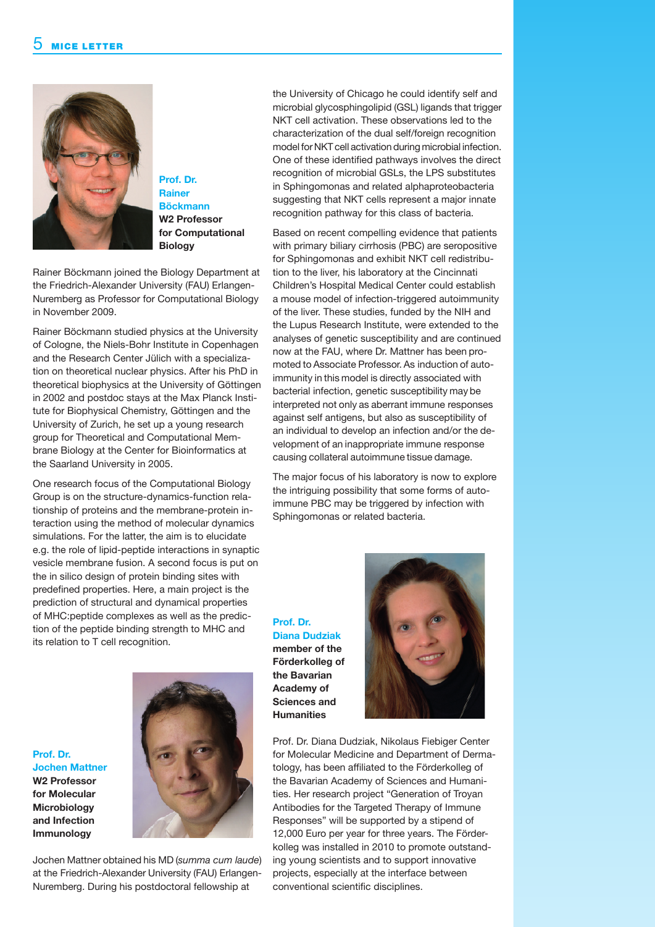

**Prof. Dr. Rainer Böckmann W2 Professor for Computational Biology**

Rainer Böckmann joined the Biology Department at the Friedrich-Alexander University (FAU) Erlangen-Nuremberg as Professor for Computational Biology in November 2009.

Rainer Böckmann studied physics at the University of Cologne, the Niels-Bohr Institute in Copenhagen and the Research Center Jülich with a specialization on theoretical nuclear physics. After his PhD in theoretical biophysics at the University of Göttingen in 2002 and postdoc stays at the Max Planck Institute for Biophysical Chemistry, Göttingen and the University of Zurich, he set up a young research group for Theoretical and Computational Membrane Biology at the Center for Bioinformatics at the Saarland University in 2005.

One research focus of the Computational Biology Group is on the structure-dynamics-function relationship of proteins and the membrane-protein interaction using the method of molecular dynamics simulations. For the latter, the aim is to elucidate e.g. the role of lipid-peptide interactions in synaptic vesicle membrane fusion. A second focus is put on the in silico design of protein binding sites with predefined properties. Here, a main project is the prediction of structural and dynamical properties of MHC:peptide complexes as well as the prediction of the peptide binding strength to MHC and its relation to T cell recognition.

Jochen Mattner obtained his MD (*summa cum laude*) at the Friedrich-Alexander University (FAU) Erlangen-Nuremberg. During his postdoctoral fellowship at

**Prof. Dr.** 

**Jochen Mattner W2 Professor for Molecular Microbiology and Infection Immunology** 

the University of Chicago he could identify self and microbial glycosphingolipid (GSL) ligands that trigger NKT cell activation. These observations led to the characterization of the dual self/foreign recognition model for NKT cell activation during microbial infection. One of these identified pathways involves the direct recognition of microbial GSLs, the LPS substitutes in Sphingomonas and related alphaproteobacteria suggesting that NKT cells represent a major innate recognition pathway for this class of bacteria.

Based on recent compelling evidence that patients with primary biliary cirrhosis (PBC) are seropositive for Sphingomonas and exhibit NKT cell redistribution to the liver, his laboratory at the Cincinnati Children's Hospital Medical Center could establish a mouse model of infection-triggered autoimmunity of the liver. These studies, funded by the NIH and the Lupus Research Institute, were extended to the analyses of genetic susceptibility and are continued now at the FAU, where Dr. Mattner has been promoted to Associate Professor. As induction of autoimmunity in this model is directly associated with bacterial infection, genetic susceptibility may be interpreted not only as aberrant immune responses against self antigens, but also as susceptibility of an individual to develop an infection and/or the development of an inappropriate immune response causing collateral autoimmune tissue damage.

The major focus of his laboratory is now to explore the intriguing possibility that some forms of autoimmune PBC may be triggered by infection with Sphingomonas or related bacteria.

**Prof. Dr. Diana Dudziak member of the Förderkolleg of the Bavarian Academy of Sciences and Humanities**



Prof. Dr. Diana Dudziak, Nikolaus Fiebiger Center for Molecular Medicine and Department of Dermatology, has been affiliated to the Förderkolleg of the Bavarian Academy of Sciences and Humanities. Her research project "Generation of Troyan Antibodies for the Targeted Therapy of Immune Responses" will be supported by a stipend of 12,000 Euro per year for three years. The Förderkolleg was installed in 2010 to promote outstanding young scientists and to support innovative projects, especially at the interface between conventional scientific disciplines.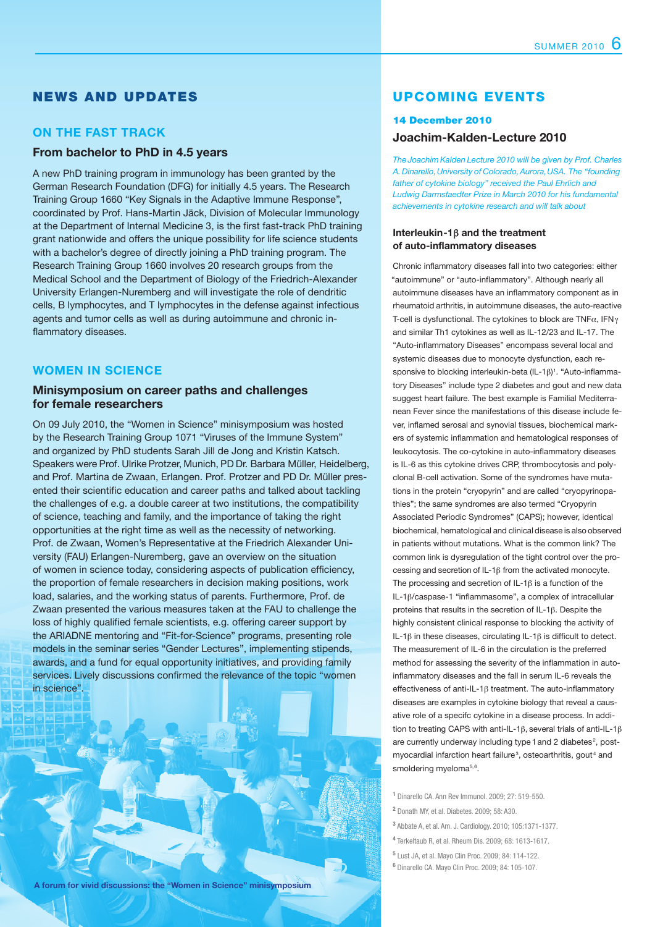#### News and Updates

#### **On the fast track**

#### **From bachelor to PhD in 4.5 years**

A new PhD training program in immunology has been granted by the German Research Foundation (DFG) for initially 4.5 years. The Research Training Group 1660 "Key Signals in the Adaptive Immune Response", coordinated by Prof. Hans-Martin Jäck, Division of Molecular Immunology at the Department of Internal Medicine 3, is the first fast-track PhD training grant nationwide and offers the unique possibility for life science students with a bachelor's degree of directly joining a PhD training program. The Research Training Group 1660 involves 20 research groups from the Medical School and the Department of Biology of the Friedrich-Alexander University Erlangen-Nuremberg and will investigate the role of dendritic cells, B lymphocytes, and T lymphocytes in the defense against infectious agents and tumor cells as well as during autoimmune and chronic inflammatory diseases.

#### **Women in Science**

#### **Minisymposium on career paths and challenges for female researchers**

On 09 July 2010, the "Women in Science" minisymposium was hosted by the Research Training Group 1071 "Viruses of the Immune System" and organized by PhD students Sarah Jill de Jong and Kristin Katsch. Speakers were Prof. Ulrike Protzer, Munich, PD Dr. Barbara Müller, Heidelberg, and Prof. Martina de Zwaan, Erlangen. Prof. Protzer and PD Dr. Müller presented their scientific education and career paths and talked about tackling the challenges of e.g. a double career at two institutions, the compatibility of science, teaching and family, and the importance of taking the right opportunities at the right time as well as the necessity of networking. Prof. de Zwaan, Women's Representative at the Friedrich Alexander University (FAU) Erlangen-Nuremberg, gave an overview on the situation of women in science today, considering aspects of publication efficiency, the proportion of female researchers in decision making positions, work load, salaries, and the working status of parents. Furthermore, Prof. de Zwaan presented the various measures taken at the FAU to challenge the loss of highly qualified female scientists, e.g. offering career support by the ARIADNE mentoring and "Fit-for-Science" programs, presenting role models in the seminar series "Gender Lectures", implementing stipends, awards, and a fund for equal opportunity initiatives, and providing family services. Lively discussions confirmed the relevance of the topic "women in science".



#### Upcoming events

#### 14 December 2010 **Joachim-Kalden-Lecture 2010**

*The Joachim Kalden Lecture 2010 will be given by Prof. Charles A. Dinarello, University of Colorado, Aurora, USA. The "founding father of cytokine biology" received the Paul Ehrlich and Ludwig Darmstaedter Prize in March 2010 for his fundamental achievements in cytokine research and will talk about*

#### **Interleukin-1**b **and the treatment of auto-inflammatory diseases**

Chronic inflammatory diseases fall into two categories: either "autoimmune" or "auto-inflammatory". Although nearly all autoimmune diseases have an inflammatory component as in rheumatoid arthritis, in autoimmune diseases, the auto-reactive T-cell is dysfunctional. The cytokines to block are TNF $\alpha$ , IFN $\gamma$ and similar Th1 cytokines as well as IL-12/23 and IL‑17. The "Auto-inflammatory Diseases" encompass several local and systemic diseases due to monocyte dysfunction, each responsive to blocking interleukin-beta  $(IL-1\beta)^1$ . "Auto-inflammatory Diseases" include type 2 diabetes and gout and new data suggest heart failure. The best example is Familial Mediterranean Fever since the manifestations of this disease include fever, inflamed serosal and synovial tissues, biochemical markers of systemic inflammation and hematological responses of leukocytosis. The co-cytokine in auto-inflammatory diseases is IL-6 as this cytokine drives CRP, thrombocytosis and polyclonal B-cell activation. Some of the syndromes have mutations in the protein "cryopyrin" and are called "cryopyrinopathies"; the same syndromes are also termed "Cryopyrin Associated Periodic Syndromes" (CAPS); however, identical biochemical, hematological and clinical disease is also observed in patients without mutations. What is the common link? The common link is dysregulation of the tight control over the processing and secretion of IL-1 $\beta$  from the activated monocyte. The processing and secretion of  $IL-1\beta$  is a function of the IL‑1b/caspase-1 "inflammasome", a complex of intracellular proteins that results in the secretion of IL‑1b. Despite the highly consistent clinical response to blocking the activity of IL‑1b in these diseases, circulating IL‑1b is difficult to detect. The measurement of IL-6 in the circulation is the preferred method for assessing the severity of the inflammation in autoinflammatory diseases and the fall in serum IL‑6 reveals the effectiveness of anti-IL-1b treatment. The auto-inflammatory diseases are examples in cytokine biology that reveal a causative role of a specifc cytokine in a disease process. In addition to treating CAPS with anti-IL-1 $\beta$ , several trials of anti-IL-1 $\beta$ are currently underway including type 1 and 2 diabetes<sup>2</sup>, postmyocardial infarction heart failure<sup>3</sup>, osteoarthritis, gout<sup>4</sup> and smoldering myeloma<sup>5,6</sup>.

**1** Dinarello CA. Ann Rev Immunol. 2009; 27: 519-550.

- **2** Donath MY, et al. Diabetes. 2009; 58: A30.
- **3** Abbate A, et al. Am. J. Cardiology. 2010; 105:1371-1377.

**4** Terkeltaub R, et al. Rheum Dis. 2009; 68: 1613-1617.

**5** Lust JA, et al. Mayo Clin Proc. 2009; 84: 114-122.

**<sup>6</sup>**Dinarello CA. Mayo Clin Proc. 2009; 84: 105-107.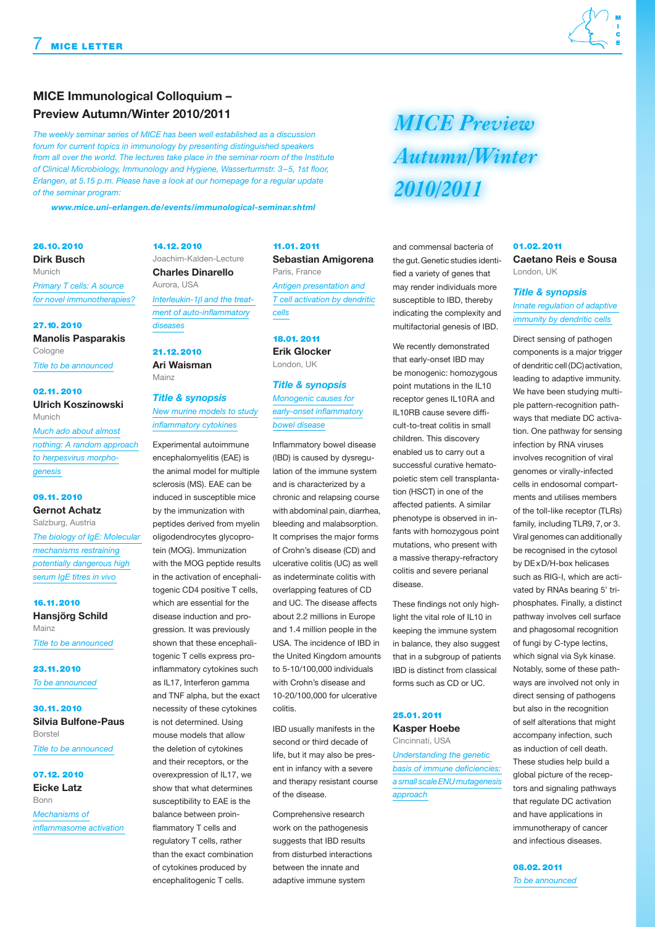#### **MICE Immunological Colloquium – Preview Autumn/Winter 2010/2011**

*The weekly seminar series of MICE has been well established as a discussion forum for current topics in immunology by presenting distinguished speakers from all over the world. The lectures take place in the seminar room of the Institute of Clinical Microbiology, Immunology and Hygiene, Wasserturmstr. 3–5, 1st floor, Erlangen, at 5.15 p.m. Please have a look at our homepage for a regular update of the seminar program:* 

 *www.mice.uni-erlangen.de/events/immunological-seminar.shtml*

26.10. 2010 **Dirk Busch**  Munich *Primary T cells: A source for novel immunotherapies?*

27.10. 2010 **Manolis Pasparakis**  Cologne

*Title to be announced*

02.11. 2010 **Ulrich Koszinowski**  Munich

*Much ado about almost nothing: A random approach to herpesvirus morphogenesis*

#### 09.11. 2010 **Gernot Achatz**

Salzburg, Austria *The biology of IgE: Molecular mechanisms restraining potentially dangerous high serum IgE titres in vivo*

16.11.2010 **Hansjörg Schild**  Mainz *Title to be announced*

23.11.2010 *To be announced*

30.11. 2010 **Silvia Bulfone-Paus**  Borstel *Title to be announced*

07.12. 2010 **Eicke Latz**  Bonn *Mechanisms of inflammasome activation*

14.12. 2010 Joachim-Kalden-Lecture **Charles Dinarello**  Aurora, USA *Interleukin-1*b *and the treat-*

*ment of auto-inflammatory diseases*

21.12. 2010 **Ari Waisman**  Mainz

*Title & synopsis New murine models to study inflammatory cytokines*

Experimental autoimmune encephalomyelitis (EAE) is the animal model for multiple sclerosis (MS). EAE can be induced in susceptible mice by the immunization with peptides derived from myelin oligodendrocytes glycoprotein (MOG). Immunization with the MOG peptide results in the activation of encephalitogenic CD4 positive T cells, which are essential for the disease induction and progression. It was previously shown that these encephalitogenic T cells express proinflammatory cytokines such as IL17, Interferon gamma and TNF alpha, but the exact necessity of these cytokines is not determined. Using mouse models that allow the deletion of cytokines and their receptors, or the overexpression of IL17, we show that what determines susceptibility to EAE is the balance between proinflammatory T cells and regulatory T cells, rather than the exact combination

of cytokines produced by encephalitogenic T cells.

#### 11.01. 2011 **Sebastian Amigorena**

Paris, France *Antigen presentation and T cell activation by dendritic cells*

#### 18.01. 2011 **Erik Glocker**

London, UK

#### *Title & synopsis Monogenic causes for*

*early-onset inflammatory bowel disease*

Inflammatory bowel disease (IBD) is caused by dysregulation of the immune system and is characterized by a chronic and relapsing course with abdominal pain, diarrhea, bleeding and malabsorption. It comprises the major forms of Crohn's disease (CD) and ulcerative colitis (UC) as well as indeterminate colitis with overlapping features of CD and UC. The disease affects about 2.2 millions in Europe and 1.4 million people in the USA. The incidence of IBD in the United Kingdom amounts to 5-10/100,000 individuals with Crohn's disease and 10-20/100,000 for ulcerative colitis.

IBD usually manifests in the second or third decade of life, but it may also be present in infancy with a severe and therapy resistant course of the disease.

Comprehensive research work on the pathogenesis suggests that IBD results from disturbed interactions between the innate and adaptive immune system

## **MICE** Preview **Autumn/Winter** 2010/2011

and commensal bacteria of the gut. Genetic studies identified a variety of genes that may render individuals more susceptible to IBD, thereby indicating the complexity and multifactorial genesis of IBD.

We recently demonstrated that early-onset IBD may be monogenic: homozygous point mutations in the IL10 receptor genes IL10RA and IL10RB cause severe difficult-to-treat colitis in small children. This discovery enabled us to carry out a successful curative hematopoietic stem cell transplantation (HSCT) in one of the affected patients. A similar phenotype is observed in infants with homozygous point mutations, who present with a massive therapy-refractory colitis and severe perianal disease.

These findings not only highlight the vital role of IL10 in keeping the immune system in balance, they also suggest that in a subgroup of patients IBD is distinct from classical forms such as CD or UC.

#### 25.01. 2011

**Kasper Hoebe**  Cincinnati, USA

*Understanding the genetic basis of immune deficiencies: a small scale ENU mutagenesis approach*

#### 01.02. 2011 **Caetano Reis e Sousa**  London, UK

#### *Title & synopsis Innate regulation of adaptive*

*immunity by dendritic cells*

Direct sensing of pathogen components is a major trigger of dendritic cell (DC) activation, leading to adaptive immunity. We have been studying multiple pattern-recognition pathways that mediate DC activation. One pathway for sensing infection by RNA viruses involves recognition of viral genomes or virally-infected cells in endosomal compartments and utilises members of the toll-like receptor (TLRs) family, including TLR9, 7, or 3. Viral genomes can additionally be recognised in the cytosol by DExD/H-box helicases such as RIG-I, which are activated by RNAs bearing 5' triphosphates. Finally, a distinct pathway involves cell surface and phagosomal recognition of fungi by C-type lectins, which signal via Syk kinase. Notably, some of these pathways are involved not only in direct sensing of pathogens but also in the recognition of self alterations that might accompany infection, such as induction of cell death. These studies help build a global picture of the receptors and signaling pathways that regulate DC activation and have applications in immunotherapy of cancer and infectious diseases.

08.02. 2011 *To be announced*